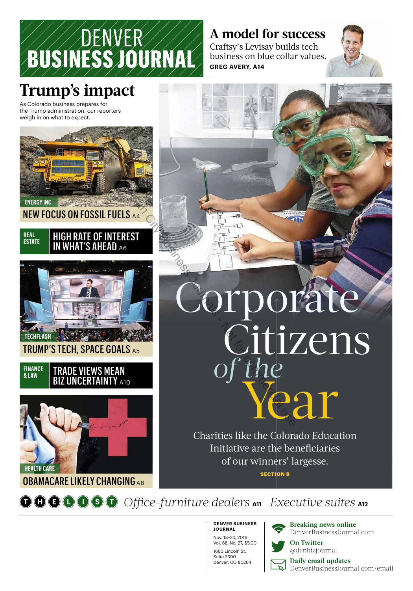

### **A model for success**

Craftsy's Levisay builds tech business on blue collar values. **GREG AVERY, A14**



## **Trump's impact**

As Colorado business prepares for the Trump administration, our reporters weigh in on what to expect.



#### NEW FOCUS ON FOSSIL FUELS A4

#### HEADLINE GOES IN HERELY XX **REAL ESTATE** HIGH RATE OF INTEREST IN WHAT'S AHEAD A6



#### **FINANCE & LAW** TRADE VIEWS MEAN **BIZ UNCERTAINTY A10**



#### OBAMACARE LIKELY CHANGING A8

# **Corporate** Year Citizens *of the* TEREST COMPOI

Charities like the Colorado Education Initiative are the beneficiaries of our winners' largesse. **SECTION B**

 $\odot$   $\odot$   $\odot$   $\odot$   $\odot$   $\odot$  *Office-furniture dealers* A11 *Executive suites* A12

**DENVER BUSINESS JOURNAL** Nov. 18–24, 2016 Vol. 68, No. 27, \$5.00 1660 Lincoln St. Suite 2300 Denver, CO 80264

**Breaking news online** DenverBusinessJournal.com



**On Twitter**

@denbizjournal

**LA** 

**Daily email updates** DenverBusinessJournal.com/email